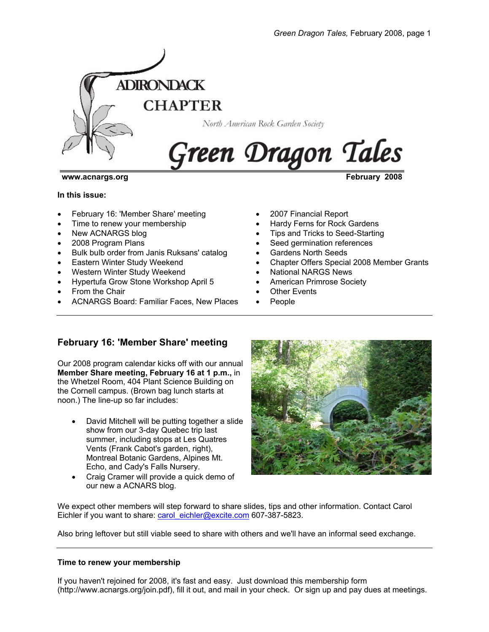

#### **www.acnargs.org February 2008**

#### **In this issue:**

- February 16: 'Member Share' meeting
- Time to renew your membership
- New ACNARGS blog
- 2008 Program Plans
- Bulk bulb order from Janis Ruksans' catalog
- **Eastern Winter Study Weekend**
- Western Winter Study Weekend
- Hypertufa Grow Stone Workshop April 5
- From the Chair
- ACNARGS Board: Familiar Faces, New Places
- 2007 Financial Report
- Hardy Ferns for Rock Gardens
- Tips and Tricks to Seed-Starting
- Seed germination references
- Gardens North Seeds
- Chapter Offers Special 2008 Member Grants
- National NARGS News
- American Primrose Society
- **Other Events**
- People

# **February 16: 'Member Share' meeting**

Our 2008 program calendar kicks off with our annual **Member Share meeting, February 16 at 1 p.m.,** in the Whetzel Room, 404 Plant Science Building on the Cornell campus. (Brown bag lunch starts at noon.) The line-up so far includes:

- David Mitchell will be putting together a slide show from our 3-day Quebec trip last summer, including stops at Les Quatres Vents (Frank Cabot's garden, right), Montreal Botanic Gardens, Alpines Mt. Echo, and Cady's Falls Nursery.
- Craig Cramer will provide a quick demo of our new a ACNARS blog.



We expect other members will step forward to share slides, tips and other information. Contact Carol Eichler if you want to share: carol\_eichler@excite.com 607-387-5823.

Also bring leftover but still viable seed to share with others and we'll have an informal seed exchange.

#### **Time to renew your membership**

If you haven't rejoined for 2008, it's fast and easy. Just download this membership form (http://www.acnargs.org/join.pdf), fill it out, and mail in your check. Or sign up and pay dues at meetings.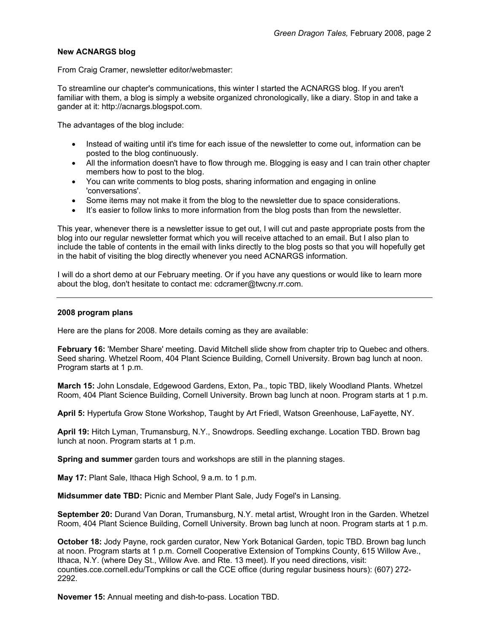# **New ACNARGS blog**

From Craig Cramer, newsletter editor/webmaster:

To streamline our chapter's communications, this winter I started the ACNARGS blog. If you aren't familiar with them, a blog is simply a website organized chronologically, like a diary. Stop in and take a gander at it: http://acnargs.blogspot.com.

The advantages of the blog include:

- Instead of waiting until it's time for each issue of the newsletter to come out, information can be posted to the blog continuously.
- All the information doesn't have to flow through me. Blogging is easy and I can train other chapter members how to post to the blog.
- You can write comments to blog posts, sharing information and engaging in online 'conversations'.
- Some items may not make it from the blog to the newsletter due to space considerations.
- It's easier to follow links to more information from the blog posts than from the newsletter.

This year, whenever there is a newsletter issue to get out, I will cut and paste appropriate posts from the blog into our regular newsletter format which you will receive attached to an email. But I also plan to include the table of contents in the email with links directly to the blog posts so that you will hopefully get in the habit of visiting the blog directly whenever you need ACNARGS information.

I will do a short demo at our February meeting. Or if you have any questions or would like to learn more about the blog, don't hesitate to contact me: cdcramer@twcny.rr.com.

#### **2008 program plans**

Here are the plans for 2008. More details coming as they are available:

**February 16:** 'Member Share' meeting. David Mitchell slide show from chapter trip to Quebec and others. Seed sharing. Whetzel Room, 404 Plant Science Building, Cornell University. Brown bag lunch at noon. Program starts at 1 p.m.

**March 15:** John Lonsdale, Edgewood Gardens, Exton, Pa., topic TBD, likely Woodland Plants. Whetzel Room, 404 Plant Science Building, Cornell University. Brown bag lunch at noon. Program starts at 1 p.m.

**April 5:** Hypertufa Grow Stone Workshop, Taught by Art Friedl, Watson Greenhouse, LaFayette, NY.

**April 19:** Hitch Lyman, Trumansburg, N.Y., Snowdrops. Seedling exchange. Location TBD. Brown bag lunch at noon. Program starts at 1 p.m.

**Spring and summer** garden tours and workshops are still in the planning stages.

**May 17:** Plant Sale, Ithaca High School, 9 a.m. to 1 p.m.

**Midsummer date TBD:** Picnic and Member Plant Sale, Judy Fogel's in Lansing.

**September 20:** Durand Van Doran, Trumansburg, N.Y. metal artist, Wrought Iron in the Garden. Whetzel Room, 404 Plant Science Building, Cornell University. Brown bag lunch at noon. Program starts at 1 p.m.

**October 18:** Jody Payne, rock garden curator, New York Botanical Garden, topic TBD. Brown bag lunch at noon. Program starts at 1 p.m. Cornell Cooperative Extension of Tompkins County, 615 Willow Ave., Ithaca, N.Y. (where Dey St., Willow Ave. and Rte. 13 meet). If you need directions, visit: counties.cce.cornell.edu/Tompkins or call the CCE office (during regular business hours): (607) 272- 2292.

**Novemer 15:** Annual meeting and dish-to-pass. Location TBD.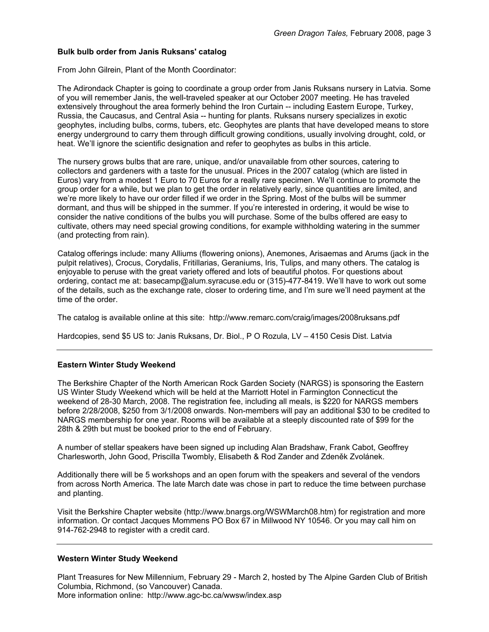## **Bulk bulb order from Janis Ruksans' catalog**

From John Gilrein, Plant of the Month Coordinator:

The Adirondack Chapter is going to coordinate a group order from Janis Ruksans nursery in Latvia. Some of you will remember Janis, the well-traveled speaker at our October 2007 meeting. He has traveled extensively throughout the area formerly behind the Iron Curtain -- including Eastern Europe, Turkey, Russia, the Caucasus, and Central Asia -- hunting for plants. Ruksans nursery specializes in exotic geophytes, including bulbs, corms, tubers, etc. Geophytes are plants that have developed means to store energy underground to carry them through difficult growing conditions, usually involving drought, cold, or heat. We'll ignore the scientific designation and refer to geophytes as bulbs in this article.

The nursery grows bulbs that are rare, unique, and/or unavailable from other sources, catering to collectors and gardeners with a taste for the unusual. Prices in the 2007 catalog (which are listed in Euros) vary from a modest 1 Euro to 70 Euros for a really rare specimen. We'll continue to promote the group order for a while, but we plan to get the order in relatively early, since quantities are limited, and we're more likely to have our order filled if we order in the Spring. Most of the bulbs will be summer dormant, and thus will be shipped in the summer. If you're interested in ordering, it would be wise to consider the native conditions of the bulbs you will purchase. Some of the bulbs offered are easy to cultivate, others may need special growing conditions, for example withholding watering in the summer (and protecting from rain).

Catalog offerings include: many Alliums (flowering onions), Anemones, Arisaemas and Arums (jack in the pulpit relatives), Crocus, Corydalis, Fritillarias, Geraniums, Iris, Tulips, and many others. The catalog is enjoyable to peruse with the great variety offered and lots of beautiful photos. For questions about ordering, contact me at: basecamp@alum.syracuse.edu or (315)-477-8419. We'll have to work out some of the details, such as the exchange rate, closer to ordering time, and I'm sure we'll need payment at the time of the order.

The catalog is available online at this site: http://www.remarc.com/craig/images/2008ruksans.pdf

Hardcopies, send \$5 US to: Janis Ruksans, Dr. Biol., P O Rozula, LV – 4150 Cesis Dist. Latvia

#### **Eastern Winter Study Weekend**

The Berkshire Chapter of the North American Rock Garden Society (NARGS) is sponsoring the Eastern US Winter Study Weekend which will be held at the Marriott Hotel in Farmington Connecticut the weekend of 28-30 March, 2008. The registration fee, including all meals, is \$220 for NARGS members before 2/28/2008, \$250 from 3/1/2008 onwards. Non-members will pay an additional \$30 to be credited to NARGS membership for one year. Rooms will be available at a steeply discounted rate of \$99 for the 28th & 29th but must be booked prior to the end of February.

A number of stellar speakers have been signed up including Alan Bradshaw, Frank Cabot, Geoffrey Charlesworth, John Good, Priscilla Twombly, Elisabeth & Rod Zander and Zdeněk Zvolánek.

Additionally there will be 5 workshops and an open forum with the speakers and several of the vendors from across North America. The late March date was chose in part to reduce the time between purchase and planting.

Visit the Berkshire Chapter website (http://www.bnargs.org/WSWMarch08.htm) for registration and more information. Or contact Jacques Mommens PO Box 67 in Millwood NY 10546. Or you may call him on 914-762-2948 to register with a credit card.

#### **Western Winter Study Weekend**

Plant Treasures for New Millennium, February 29 - March 2, hosted by The Alpine Garden Club of British Columbia, Richmond, (so Vancouver) Canada. More information online: http://www.agc-bc.ca/wwsw/index.asp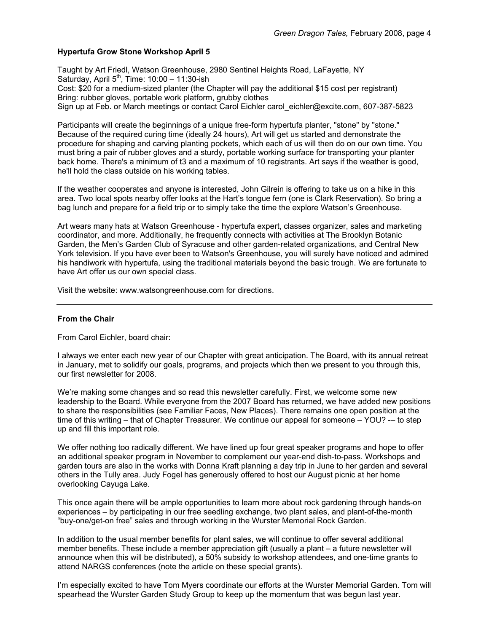# **Hypertufa Grow Stone Workshop April 5**

Taught by Art Friedl, Watson Greenhouse, 2980 Sentinel Heights Road, LaFayette, NY Saturday, April  $5<sup>th</sup>$ , Time:  $10:00 - 11:30$ -ish Cost: \$20 for a medium-sized planter (the Chapter will pay the additional \$15 cost per registrant) Bring: rubber gloves, portable work platform, grubby clothes Sign up at Feb. or March meetings or contact Carol Eichler carol\_eichler@excite.com, 607-387-5823

Participants will create the beginnings of a unique free-form hypertufa planter, "stone" by "stone." Because of the required curing time (ideally 24 hours), Art will get us started and demonstrate the procedure for shaping and carving planting pockets, which each of us will then do on our own time. You must bring a pair of rubber gloves and a sturdy, portable working surface for transporting your planter back home. There's a minimum of t3 and a maximum of 10 registrants. Art says if the weather is good, he'll hold the class outside on his working tables.

If the weather cooperates and anyone is interested, John Gilrein is offering to take us on a hike in this area. Two local spots nearby offer looks at the Hart's tongue fern (one is Clark Reservation). So bring a bag lunch and prepare for a field trip or to simply take the time the explore Watson's Greenhouse.

Art wears many hats at Watson Greenhouse - hypertufa expert, classes organizer, sales and marketing coordinator, and more. Additionally, he frequently connects with activities at The Brooklyn Botanic Garden, the Men's Garden Club of Syracuse and other garden-related organizations, and Central New York television. If you have ever been to Watson's Greenhouse, you will surely have noticed and admired his handiwork with hypertufa, using the traditional materials beyond the basic trough. We are fortunate to have Art offer us our own special class.

Visit the website: www.watsongreenhouse.com for directions.

#### **From the Chair**

From Carol Eichler, board chair:

I always we enter each new year of our Chapter with great anticipation. The Board, with its annual retreat in January, met to solidify our goals, programs, and projects which then we present to you through this, our first newsletter for 2008.

We're making some changes and so read this newsletter carefully. First, we welcome some new leadership to the Board. While everyone from the 2007 Board has returned, we have added new positions to share the responsibilities (see Familiar Faces, New Places). There remains one open position at the time of this writing – that of Chapter Treasurer. We continue our appeal for someone – YOU? -- to step up and fill this important role.

We offer nothing too radically different. We have lined up four great speaker programs and hope to offer an additional speaker program in November to complement our year-end dish-to-pass. Workshops and garden tours are also in the works with Donna Kraft planning a day trip in June to her garden and several others in the Tully area. Judy Fogel has generously offered to host our August picnic at her home overlooking Cayuga Lake.

This once again there will be ample opportunities to learn more about rock gardening through hands-on experiences – by participating in our free seedling exchange, two plant sales, and plant-of-the-month "buy-one/get-on free" sales and through working in the Wurster Memorial Rock Garden.

In addition to the usual member benefits for plant sales, we will continue to offer several additional member benefits. These include a member appreciation gift (usually a plant – a future newsletter will announce when this will be distributed), a 50% subsidy to workshop attendees, and one-time grants to attend NARGS conferences (note the article on these special grants).

I'm especially excited to have Tom Myers coordinate our efforts at the Wurster Memorial Garden. Tom will spearhead the Wurster Garden Study Group to keep up the momentum that was begun last year.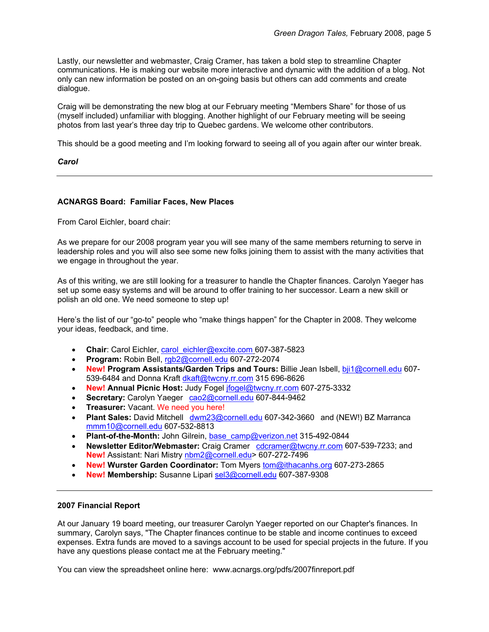Lastly, our newsletter and webmaster, Craig Cramer, has taken a bold step to streamline Chapter communications. He is making our website more interactive and dynamic with the addition of a blog. Not only can new information be posted on an on-going basis but others can add comments and create dialogue.

Craig will be demonstrating the new blog at our February meeting "Members Share" for those of us (myself included) unfamiliar with blogging. Another highlight of our February meeting will be seeing photos from last year's three day trip to Quebec gardens. We welcome other contributors.

This should be a good meeting and I'm looking forward to seeing all of you again after our winter break.

## *Carol*

## **ACNARGS Board: Familiar Faces, New Places**

From Carol Eichler, board chair:

As we prepare for our 2008 program year you will see many of the same members returning to serve in leadership roles and you will also see some new folks joining them to assist with the many activities that we engage in throughout the year.

As of this writing, we are still looking for a treasurer to handle the Chapter finances. Carolyn Yaeger has set up some easy systems and will be around to offer training to her successor. Learn a new skill or polish an old one. We need someone to step up!

Here's the list of our "go-to" people who "make things happen" for the Chapter in 2008. They welcome your ideas, feedback, and time.

- **Chair**: Carol Eichler, carol\_eichler@excite.com 607-387-5823
- **Program:** Robin Bell, rgb2@cornell.edu 607-272-2074
- **New! Program Assistants/Garden Trips and Tours:** Billie Jean Isbell, bji1@cornell.edu 607- 539-6484 and Donna Kraft dkaft@twcny.rr.com 315 696-8626
- **New! Annual Picnic Host:** Judy Fogel jfogel@twcny.rr.com 607-275-3332
- Secretary: Carolyn Yaeger cao2@cornell.edu 607-844-9462
- **Treasurer:** Vacant. We need you here!
- **Plant Sales:** David Mitchell dwm23@cornell.edu 607-342-3660 and (NEW!) BZ Marranca mmm10@cornell.edu 607-532-8813
- **Plant-of-the-Month:** John Gilrein, base\_camp@verizon.net 315-492-0844
- **Newsletter Editor/Webmaster:** Craig Cramer cdcramer@twcny.rr.com 607-539-7233; and **New!** Assistant: Nari Mistry nbm2@cornell.edu> 607-272-7496
- **New! Wurster Garden Coordinator:** Tom Myers tom@ithacanhs.org 607-273-2865
- **New! Membership:** Susanne Lipari sel3@cornell.edu 607-387-9308

#### **2007 Financial Report**

At our January 19 board meeting, our treasurer Carolyn Yaeger reported on our Chapter's finances. In summary, Carolyn says, "The Chapter finances continue to be stable and income continues to exceed expenses. Extra funds are moved to a savings account to be used for special projects in the future. If you have any questions please contact me at the February meeting."

You can view the spreadsheet online here: www.acnargs.org/pdfs/2007finreport.pdf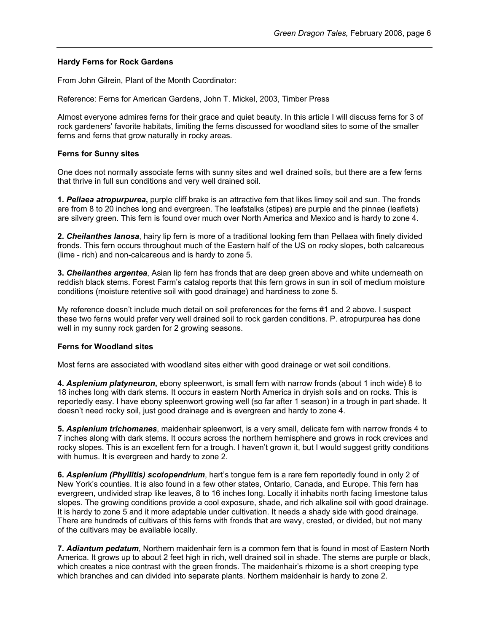#### **Hardy Ferns for Rock Gardens**

From John Gilrein, Plant of the Month Coordinator:

Reference: Ferns for American Gardens, John T. Mickel, 2003, Timber Press

Almost everyone admires ferns for their grace and quiet beauty. In this article I will discuss ferns for 3 of rock gardeners' favorite habitats, limiting the ferns discussed for woodland sites to some of the smaller ferns and ferns that grow naturally in rocky areas.

## **Ferns for Sunny sites**

One does not normally associate ferns with sunny sites and well drained soils, but there are a few ferns that thrive in full sun conditions and very well drained soil.

**1.** *Pellaea atropurpurea***,** purple cliff brake is an attractive fern that likes limey soil and sun. The fronds are from 8 to 20 inches long and evergreen. The leafstalks (stipes) are purple and the pinnae (leaflets) are silvery green. This fern is found over much over North America and Mexico and is hardy to zone 4.

**2.** *Cheilanthes lanosa*, hairy lip fern is more of a traditional looking fern than Pellaea with finely divided fronds. This fern occurs throughout much of the Eastern half of the US on rocky slopes, both calcareous (lime - rich) and non-calcareous and is hardy to zone 5.

**3.** *Cheilanthes argentea*, Asian lip fern has fronds that are deep green above and white underneath on reddish black stems. Forest Farm's catalog reports that this fern grows in sun in soil of medium moisture conditions (moisture retentive soil with good drainage) and hardiness to zone 5.

My reference doesn't include much detail on soil preferences for the ferns #1 and 2 above. I suspect these two ferns would prefer very well drained soil to rock garden conditions. P. atropurpurea has done well in my sunny rock garden for 2 growing seasons.

# **Ferns for Woodland sites**

Most ferns are associated with woodland sites either with good drainage or wet soil conditions.

**4.** *Asplenium platyneuron***,** ebony spleenwort, is small fern with narrow fronds (about 1 inch wide) 8 to 18 inches long with dark stems. It occurs in eastern North America in dryish soils and on rocks. This is reportedly easy. I have ebony spleenwort growing well (so far after 1 season) in a trough in part shade. It doesn't need rocky soil, just good drainage and is evergreen and hardy to zone 4.

**5.** *Asplenium trichomanes*, maidenhair spleenwort, is a very small, delicate fern with narrow fronds 4 to 7 inches along with dark stems. It occurs across the northern hemisphere and grows in rock crevices and rocky slopes. This is an excellent fern for a trough. I haven't grown it, but I would suggest gritty conditions with humus. It is evergreen and hardy to zone 2.

**6.** *Asplenium (Phyllitis) scolopendrium*, hart's tongue fern is a rare fern reportedly found in only 2 of New York's counties. It is also found in a few other states, Ontario, Canada, and Europe. This fern has evergreen, undivided strap like leaves, 8 to 16 inches long. Locally it inhabits north facing limestone talus slopes. The growing conditions provide a cool exposure, shade, and rich alkaline soil with good drainage. It is hardy to zone 5 and it more adaptable under cultivation. It needs a shady side with good drainage. There are hundreds of cultivars of this ferns with fronds that are wavy, crested, or divided, but not many of the cultivars may be available locally.

**7.** *Adiantum pedatum*, Northern maidenhair fern is a common fern that is found in most of Eastern North America. It grows up to about 2 feet high in rich, well drained soil in shade. The stems are purple or black, which creates a nice contrast with the green fronds. The maidenhair's rhizome is a short creeping type which branches and can divided into separate plants. Northern maidenhair is hardy to zone 2.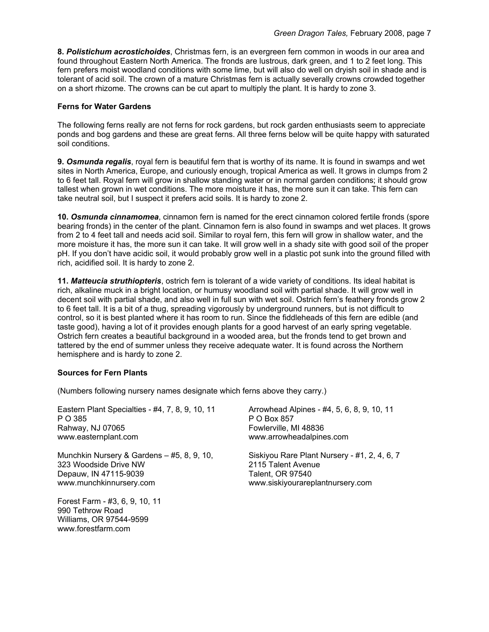**8.** *Polistichum acrostichoides*, Christmas fern, is an evergreen fern common in woods in our area and found throughout Eastern North America. The fronds are lustrous, dark green, and 1 to 2 feet long. This fern prefers moist woodland conditions with some lime, but will also do well on dryish soil in shade and is tolerant of acid soil. The crown of a mature Christmas fern is actually severally crowns crowded together on a short rhizome. The crowns can be cut apart to multiply the plant. It is hardy to zone 3.

#### **Ferns for Water Gardens**

The following ferns really are not ferns for rock gardens, but rock garden enthusiasts seem to appreciate ponds and bog gardens and these are great ferns. All three ferns below will be quite happy with saturated soil conditions.

**9.** *Osmunda regalis*, royal fern is beautiful fern that is worthy of its name. It is found in swamps and wet sites in North America, Europe, and curiously enough, tropical America as well. It grows in clumps from 2 to 6 feet tall. Royal fern will grow in shallow standing water or in normal garden conditions; it should grow tallest when grown in wet conditions. The more moisture it has, the more sun it can take. This fern can take neutral soil, but I suspect it prefers acid soils. It is hardy to zone 2.

**10.** *Osmunda cinnamomea*, cinnamon fern is named for the erect cinnamon colored fertile fronds (spore bearing fronds) in the center of the plant. Cinnamon fern is also found in swamps and wet places. It grows from 2 to 4 feet tall and needs acid soil. Similar to royal fern, this fern will grow in shallow water, and the more moisture it has, the more sun it can take. It will grow well in a shady site with good soil of the proper pH. If you don't have acidic soil, it would probably grow well in a plastic pot sunk into the ground filled with rich, acidified soil. It is hardy to zone 2.

**11.** *Matteucia struthiopteris*, ostrich fern is tolerant of a wide variety of conditions. Its ideal habitat is rich, alkaline muck in a bright location, or humusy woodland soil with partial shade. It will grow well in decent soil with partial shade, and also well in full sun with wet soil. Ostrich fern's feathery fronds grow 2 to 6 feet tall. It is a bit of a thug, spreading vigorously by underground runners, but is not difficult to control, so it is best planted where it has room to run. Since the fiddleheads of this fern are edible (and taste good), having a lot of it provides enough plants for a good harvest of an early spring vegetable. Ostrich fern creates a beautiful background in a wooded area, but the fronds tend to get brown and tattered by the end of summer unless they receive adequate water. It is found across the Northern hemisphere and is hardy to zone 2.

# **Sources for Fern Plants**

(Numbers following nursery names designate which ferns above they carry.)

Eastern Plant Specialties - #4, 7, 8, 9, 10, 11 P O 385 Rahway, NJ 07065 www.easternplant.com

Munchkin Nursery & Gardens – #5, 8, 9, 10, 323 Woodside Drive NW Depauw, IN 47115-9039 www.munchkinnursery.com

Forest Farm - #3, 6, 9, 10, 11 990 Tethrow Road Williams, OR 97544-9599 www.forestfarm.com

Arrowhead Alpines - #4, 5, 6, 8, 9, 10, 11 P O Box 857 Fowlerville, MI 48836 www.arrowheadalpines.com

Siskiyou Rare Plant Nursery - #1, 2, 4, 6, 7 2115 Talent Avenue Talent, OR 97540 www.siskiyourareplantnursery.com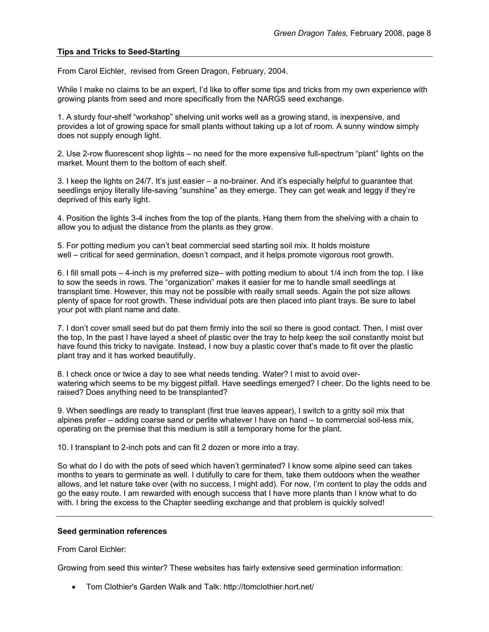#### **Tips and Tricks to Seed-Starting**

From Carol Eichler, revised from Green Dragon, February, 2004.

While I make no claims to be an expert, I'd like to offer some tips and tricks from my own experience with growing plants from seed and more specifically from the NARGS seed exchange.

1. A sturdy four-shelf "workshop" shelving unit works well as a growing stand, is inexpensive, and provides a lot of growing space for small plants without taking up a lot of room. A sunny window simply does not supply enough light.

2. Use 2-row fluorescent shop lights – no need for the more expensive full-spectrum "plant" lights on the market. Mount them to the bottom of each shelf.

3. I keep the lights on 24/7. It's just easier – a no-brainer. And it's especially helpful to guarantee that seedlings enjoy literally life-saving "sunshine" as they emerge. They can get weak and leggy if they're deprived of this early light.

4. Position the lights 3-4 inches from the top of the plants. Hang them from the shelving with a chain to allow you to adjust the distance from the plants as they grow.

5. For potting medium you can't beat commercial seed starting soil mix. It holds moisture well – critical for seed germination, doesn't compact, and it helps promote vigorous root growth.

6. I fill small pots – 4-inch is my preferred size– with potting medium to about 1/4 inch from the top. I like to sow the seeds in rows. The "organization" makes it easier for me to handle small seedlings at transplant time. However, this may not be possible with really small seeds. Again the pot size allows plenty of space for root growth. These individual pots are then placed into plant trays. Be sure to label your pot with plant name and date.

7. I don't cover small seed but do pat them firmly into the soil so there is good contact. Then, I mist over the top, In the past I have layed a sheet of plastic over the tray to help keep the soil constantly moist but have found this tricky to navigate. Instead, I now buy a plastic cover that's made to fit over the plastic plant tray and it has worked beautifully.

8. I check once or twice a day to see what needs tending. Water? I mist to avoid overwatering which seems to be my biggest pitfall. Have seedlings emerged? I cheer. Do the lights need to be raised? Does anything need to be transplanted?

9. When seedlings are ready to transplant (first true leaves appear), I switch to a gritty soil mix that alpines prefer – adding coarse sand or perlite whatever I have on hand – to commercial soil-less mix, operating on the premise that this medium is still a temporary home for the plant.

10. I transplant to 2-inch pots and can fit 2 dozen or more into a tray.

So what do I do with the pots of seed which haven't germinated? I know some alpine seed can takes months to years to germinate as well. I dutifully to care for them, take them outdoors when the weather allows, and let nature take over (with no success, I might add). For now, I'm content to play the odds and go the easy route. I am rewarded with enough success that I have more plants than I know what to do with. I bring the excess to the Chapter seedling exchange and that problem is quickly solved!

#### **Seed germination references**

From Carol Eichler:

Growing from seed this winter? These websites has fairly extensive seed germination information:

• Tom Clothier's Garden Walk and Talk: http://tomclothier.hort.net/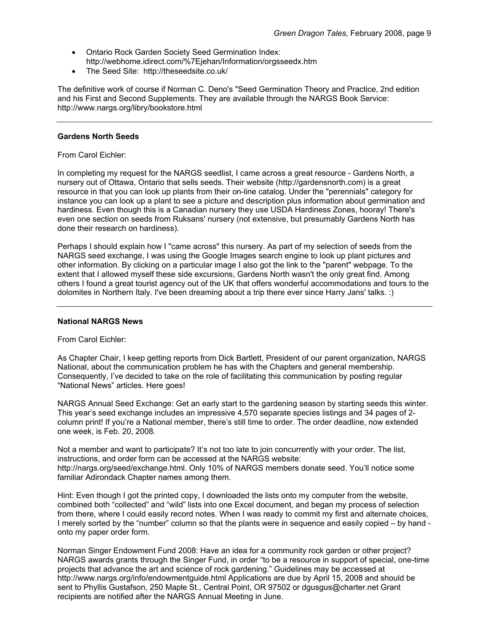- Ontario Rock Garden Society Seed Germination Index: http://webhome.idirect.com/%7Ejehan/Information/orgsseedx.htm
- The Seed Site: http://theseedsite.co.uk/

The definitive work of course if Norman C. Deno's "Seed Germination Theory and Practice, 2nd edition and his First and Second Supplements. They are available through the NARGS Book Service: http://www.nargs.org/libry/bookstore.html

#### **Gardens North Seeds**

From Carol Eichler:

In completing my request for the NARGS seedlist, I came across a great resource - Gardens North, a nursery out of Ottawa, Ontario that sells seeds. Their website (http://gardensnorth.com) is a great resource in that you can look up plants from their on-line catalog. Under the "perennials" category for instance you can look up a plant to see a picture and description plus information about germination and hardiness. Even though this is a Canadian nursery they use USDA Hardiness Zones, hooray! There's even one section on seeds from Ruksans' nursery (not extensive, but presumably Gardens North has done their research on hardiness).

Perhaps I should explain how I "came across" this nursery. As part of my selection of seeds from the NARGS seed exchange, I was using the Google Images search engine to look up plant pictures and other information. By clicking on a particular image I also got the link to the "parent" webpage. To the extent that I allowed myself these side excursions, Gardens North wasn't the only great find. Among others I found a great tourist agency out of the UK that offers wonderful accommodations and tours to the dolomites in Northern Italy. I've been dreaming about a trip there ever since Harry Jans' talks. :)

#### **National NARGS News**

From Carol Eichler:

As Chapter Chair, I keep getting reports from Dick Bartlett, President of our parent organization, NARGS National, about the communication problem he has with the Chapters and general membership. Consequently, I've decided to take on the role of facilitating this communication by posting regular "National News" articles. Here goes!

NARGS Annual Seed Exchange: Get an early start to the gardening season by starting seeds this winter. This year's seed exchange includes an impressive 4,570 separate species listings and 34 pages of 2 column print! If you're a National member, there's still time to order. The order deadline, now extended one week, is Feb. 20, 2008.

Not a member and want to participate? It's not too late to join concurrently with your order. The list, instructions, and order form can be accessed at the NARGS website: http://nargs.org/seed/exchange.html. Only 10% of NARGS members donate seed. You'll notice some familiar Adirondack Chapter names among them.

Hint: Even though I got the printed copy, I downloaded the lists onto my computer from the website, combined both "collected" and "wild" lists into one Excel document, and began my process of selection from there, where I could easily record notes. When I was ready to commit my first and alternate choices, I merely sorted by the "number" column so that the plants were in sequence and easily copied – by hand onto my paper order form.

Norman Singer Endowment Fund 2008: Have an idea for a community rock garden or other project? NARGS awards grants through the Singer Fund, in order "to be a resource in support of special, one-time projects that advance the art and science of rock gardening." Guidelines may be accessed at http://www.nargs.org/info/endowmentguide.html Applications are due by April 15, 2008 and should be sent to Phyllis Gustafson, 250 Maple St., Central Point, OR 97502 or dgusgus@charter.net Grant recipients are notified after the NARGS Annual Meeting in June.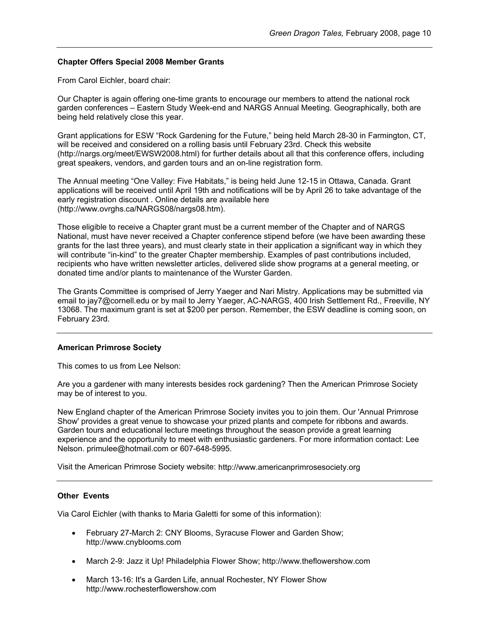#### **Chapter Offers Special 2008 Member Grants**

From Carol Eichler, board chair:

Our Chapter is again offering one-time grants to encourage our members to attend the national rock garden conferences – Eastern Study Week-end and NARGS Annual Meeting. Geographically, both are being held relatively close this year.

Grant applications for ESW "Rock Gardening for the Future," being held March 28-30 in Farmington, CT, will be received and considered on a rolling basis until February 23rd. Check this website (http://nargs.org/meet/EWSW2008.html) for further details about all that this conference offers, including great speakers, vendors, and garden tours and an on-line registration form.

The Annual meeting "One Valley: Five Habitats," is being held June 12-15 in Ottawa, Canada. Grant applications will be received until April 19th and notifications will be by April 26 to take advantage of the early registration discount . Online details are available here (http://www.ovrghs.ca/NARGS08/nargs08.htm).

Those eligible to receive a Chapter grant must be a current member of the Chapter and of NARGS National, must have never received a Chapter conference stipend before (we have been awarding these grants for the last three years), and must clearly state in their application a significant way in which they will contribute "in-kind" to the greater Chapter membership. Examples of past contributions included, recipients who have written newsletter articles, delivered slide show programs at a general meeting, or donated time and/or plants to maintenance of the Wurster Garden.

The Grants Committee is comprised of Jerry Yaeger and Nari Mistry. Applications may be submitted via email to jay7@cornell.edu or by mail to Jerry Yaeger, AC-NARGS, 400 Irish Settlement Rd., Freeville, NY 13068. The maximum grant is set at \$200 per person. Remember, the ESW deadline is coming soon, on February 23rd.

#### **American Primrose Society**

This comes to us from Lee Nelson:

Are you a gardener with many interests besides rock gardening? Then the American Primrose Society may be of interest to you.

New England chapter of the American Primrose Society invites you to join them. Our 'Annual Primrose Show' provides a great venue to showcase your prized plants and compete for ribbons and awards. Garden tours and educational lecture meetings throughout the season provide a great learning experience and the opportunity to meet with enthusiastic gardeners. For more information contact: Lee Nelson. primulee@hotmail.com or 607-648-5995.

Visit the American Primrose Society website: http://www.americanprimrosesociety.org

# **Other Events**

Via Carol Eichler (with thanks to Maria Galetti for some of this information):

- February 27-March 2: CNY Blooms, Syracuse Flower and Garden Show; http://www.cnyblooms.com
- March 2-9: Jazz it Up! Philadelphia Flower Show; http://www.theflowershow.com
- March 13-16: It's a Garden Life, annual Rochester, NY Flower Show http://www.rochesterflowershow.com